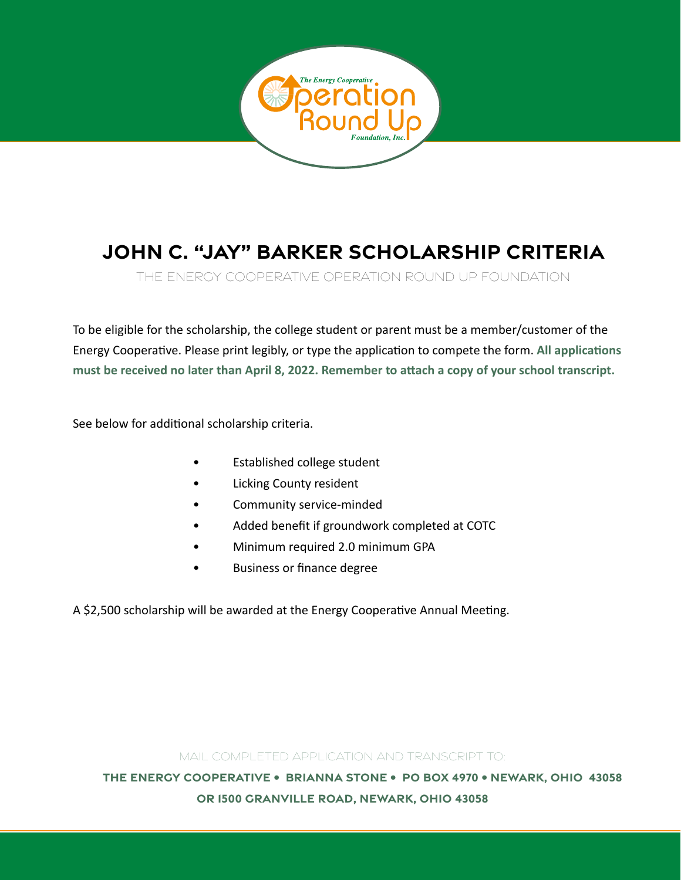

## **JOHN C. "JAY" BARKER SCHOLARSHIP criteria**

The Energy Cooperative Operation Round Up Foundation

To be eligible for the scholarship, the college student or parent must be a member/customer of the Energy Cooperative. Please print legibly, or type the application to compete the form. **All applications must be received no later than April 8, 2022. Remember to attach a copy of your school transcript.** 

See below for additional scholarship criteria.

- **Established college student**
- Licking County resident
- Community service-minded
- Added benefit if groundwork completed at COTC
- Minimum required 2.0 minimum GPA
- Business or finance degree

A \$2,500 scholarship will be awarded at the Energy Cooperative Annual Meeting.

## Mail completed application and transcript to:

**The Energy Cooperative • Brianna Stone • PO Box 4970 • newark, OHio 43058 or 1500 Granville Road, Newark, Ohio 43058**